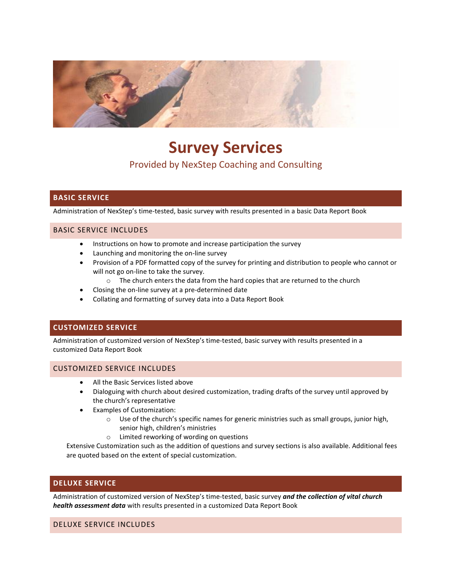

# **Survey Services**

## Provided by NexStep Coaching and Consulting

## **BASIC SERVICE**

Administration of NexStep's time-tested, basic survey with results presented in a basic Data Report Book

#### BASIC SERVICE INCLUDES

- Instructions on how to promote and increase participation the survey
- Launching and monitoring the on-line survey
- Provision of a PDF formatted copy of the survey for printing and distribution to people who cannot or will not go on-line to take the survey.
	- o The church enters the data from the hard copies that are returned to the church
- Closing the on-line survey at a pre-determined date
- Collating and formatting of survey data into a Data Report Book

#### **CUSTOMIZED SERVICE**

Administration of customized version of NexStep's time-tested, basic survey with results presented in a customized Data Report Book

#### CUSTOMIZED SERVICE INCLUDES

- All the Basic Services listed above
- Dialoguing with church about desired customization, trading drafts of the survey until approved by the church's representative
- Examples of Customization:
	- $\circ$  Use of the church's specific names for generic ministries such as small groups, junior high, senior high, children's ministries
	- o Limited reworking of wording on questions

Extensive Customization such as the addition of questions and survey sections is also available. Additional fees are quoted based on the extent of special customization.

#### **DELUXE SERVICE**

Administration of customized version of NexStep's time-tested, basic survey *and the collection of vital church health assessment data* with results presented in a customized Data Report Book

#### DELUXE SERVICE INCLUDES